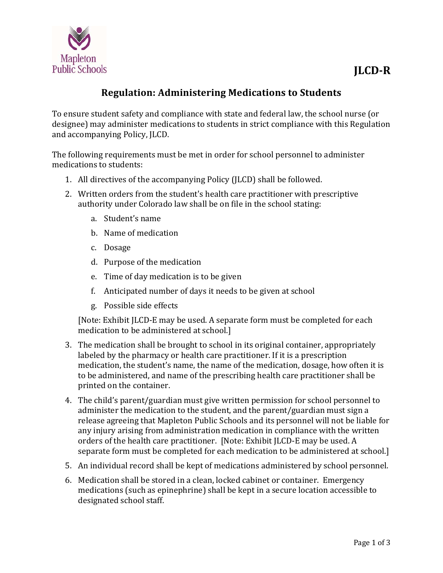

## **Regulation: Administering Medications to Students**

To ensure student safety and compliance with state and federal law, the school nurse (or designee) may administer medications to students in strict compliance with this Regulation and accompanying Policy, JLCD.

The following requirements must be met in order for school personnel to administer medications to students:

- 1. All directives of the accompanying Policy (JLCD) shall be followed.
- 2. Written orders from the student's health care practitioner with prescriptive authority under Colorado law shall be on file in the school stating:
	- a. Student's name
	- b. Name of medication
	- c. Dosage
	- d. Purpose of the medication
	- e. Time of day medication is to be given
	- f. Anticipated number of days it needs to be given at school
	- g. Possible side effects

[Note: Exhibit JLCD-E may be used. A separate form must be completed for each medication to be administered at school.]

- 3. The medication shall be brought to school in its original container, appropriately labeled by the pharmacy or health care practitioner. If it is a prescription medication, the student's name, the name of the medication, dosage, how often it is to be administered, and name of the prescribing health care practitioner shall be printed on the container.
- 4. The child's parent/guardian must give written permission for school personnel to administer the medication to the student, and the parent/guardian must sign a release agreeing that Mapleton Public Schools and its personnel will not be liable for any injury arising from administration medication in compliance with the written orders of the health care practitioner. [Note: Exhibit JLCD-E may be used. A separate form must be completed for each medication to be administered at school.]
- 5. An individual record shall be kept of medications administered by school personnel.
- 6. Medication shall be stored in a clean, locked cabinet or container. Emergency medications (such as epinephrine) shall be kept in a secure location accessible to designated school staff.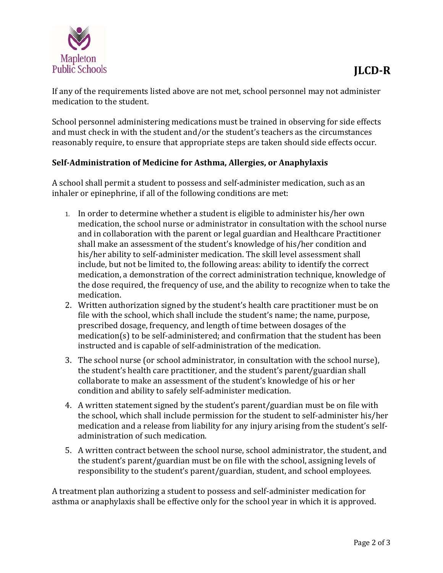

If any of the requirements listed above are not met, school personnel may not administer medication to the student.

School personnel administering medications must be trained in observing for side effects and must check in with the student and/or the student's teachers as the circumstances reasonably require, to ensure that appropriate steps are taken should side effects occur.

## **Self‐Administration of Medicine for Asthma, Allergies, or Anaphylaxis**

A school shall permit a student to possess and self-administer medication, such as an inhaler or epinephrine, if all of the following conditions are met:

- 1. In order to determine whether a student is eligible to administer his/her own medication, the school nurse or administrator in consultation with the school nurse and in collaboration with the parent or legal guardian and Healthcare Practitioner shall make an assessment of the student's knowledge of his/her condition and his/her ability to self-administer medication. The skill level assessment shall include, but not be limited to, the following areas: ability to identify the correct medication, a demonstration of the correct administration technique, knowledge of the dose required, the frequency of use, and the ability to recognize when to take the medication.
- 2. Written authorization signed by the student's health care practitioner must be on file with the school, which shall include the student's name; the name, purpose, prescribed dosage, frequency, and length of time between dosages of the  $medication(s)$  to be self-administered; and confirmation that the student has been instructed and is capable of self-administration of the medication.
- 3. The school nurse (or school administrator, in consultation with the school nurse), the student's health care practitioner, and the student's parent/guardian shall collaborate to make an assessment of the student's knowledge of his or her condition and ability to safely self-administer medication.
- 4. A written statement signed by the student's parent/guardian must be on file with the school, which shall include permission for the student to self-administer his/her medication and a release from liability for any injury arising from the student's selfadministration of such medication.
- 5. A written contract between the school nurse, school administrator, the student, and the student's parent/guardian must be on file with the school, assigning levels of responsibility to the student's parent/guardian, student, and school employees.

A treatment plan authorizing a student to possess and self-administer medication for asthma or anaphylaxis shall be effective only for the school year in which it is approved.